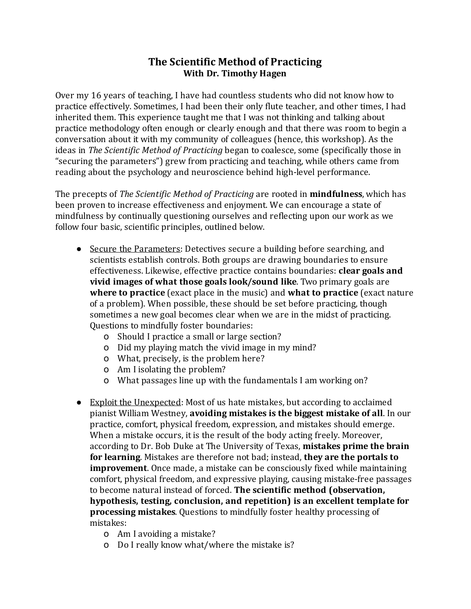## **The Scientific Method of Practicing With Dr. Timothy Hagen**

Over my 16 years of teaching, I have had countless students who did not know how to practice effectively. Sometimes, I had been their only flute teacher, and other times, I had inherited them. This experience taught me that I was not thinking and talking about practice methodology often enough or clearly enough and that there was room to begin a conversation about it with my community of colleagues (hence, this workshop). As the ideas in *The Scientific Method of Practicing* began to coalesce, some (specifically those in "securing the parameters") grew from practicing and teaching, while others came from reading about the psychology and neuroscience behind high-level performance.

The precepts of *The Scientific Method of Practicing* are rooted in **mindfulness**, which has been proven to increase effectiveness and enjoyment. We can encourage a state of mindfulness by continually questioning ourselves and reflecting upon our work as we follow four basic, scientific principles, outlined below.

- Secure the Parameters: Detectives secure a building before searching, and scientists establish controls. Both groups are drawing boundaries to ensure effectiveness. Likewise, effective practice contains boundaries: **clear goals and vivid images of what those goals look/sound like**. Two primary goals are **where to practice** (exact place in the music) and **what to practice** (exact nature of a problem). When possible, these should be set before practicing, though sometimes a new goal becomes clear when we are in the midst of practicing. Questions to mindfully foster boundaries:
	- o Should I practice a small or large section?
	- o Did my playing match the vivid image in my mind?
	- o What, precisely, is the problem here?
	- o Am I isolating the problem?
	- o What passages line up with the fundamentals I am working on?
- Exploit the Unexpected: Most of us hate mistakes, but according to acclaimed pianist William Westney, **avoiding mistakes is the biggest mistake of all**. In our practice, comfort, physical freedom, expression, and mistakes should emerge. When a mistake occurs, it is the result of the body acting freely. Moreover, according to Dr. Bob Duke at The University of Texas, **mistakes prime the brain for learning**. Mistakes are therefore not bad; instead, **they are the portals to improvement**. Once made, a mistake can be consciously fixed while maintaining comfort, physical freedom, and expressive playing, causing mistake-free passages to become natural instead of forced. **The scientific method (observation, hypothesis, testing, conclusion, and repetition) is an excellent template for processing mistakes**. Questions to mindfully foster healthy processing of mistakes:
	- o Am I avoiding a mistake?
	- o Do I really know what/where the mistake is?